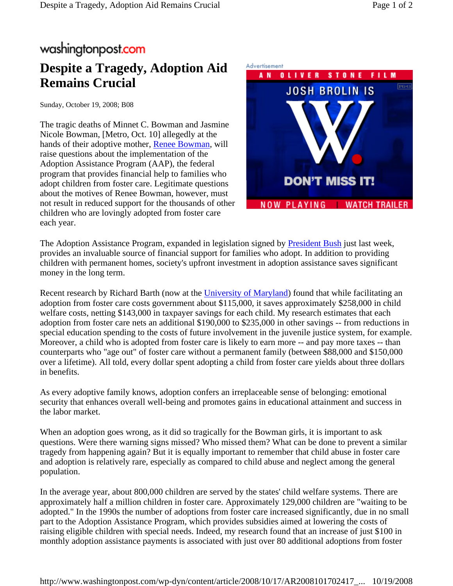## washingtonpost.com

## **Despite a Tragedy, Adoption Aid Remains Crucial**

Sunday, October 19, 2008; B08

The tragic deaths of Minnet C. Bowman and Jasmine Nicole Bowman, [Metro, Oct. 10] allegedly at the hands of their adoptive mother, Renee Bowman, will raise questions about the implementation of the Adoption Assistance Program (AAP), the federal program that provides financial help to families who adopt children from foster care. Legitimate questions about the motives of Renee Bowman, however, must not result in reduced support for the thousands of other children who are lovingly adopted from foster care each year.



The Adoption Assistance Program, expanded in legislation signed by President Bush just last week, provides an invaluable source of financial support for families who adopt. In addition to providing children with permanent homes, society's upfront investment in adoption assistance saves significant money in the long term.

Recent research by Richard Barth (now at the University of Maryland) found that while facilitating an adoption from foster care costs government about \$115,000, it saves approximately \$258,000 in child welfare costs, netting \$143,000 in taxpayer savings for each child. My research estimates that each adoption from foster care nets an additional \$190,000 to \$235,000 in other savings -- from reductions in special education spending to the costs of future involvement in the juvenile justice system, for example. Moreover, a child who is adopted from foster care is likely to earn more -- and pay more taxes -- than counterparts who "age out" of foster care without a permanent family (between \$88,000 and \$150,000 over a lifetime). All told, every dollar spent adopting a child from foster care yields about three dollars in benefits.

As every adoptive family knows, adoption confers an irreplaceable sense of belonging: emotional security that enhances overall well-being and promotes gains in educational attainment and success in the labor market.

When an adoption goes wrong, as it did so tragically for the Bowman girls, it is important to ask questions. Were there warning signs missed? Who missed them? What can be done to prevent a similar tragedy from happening again? But it is equally important to remember that child abuse in foster care and adoption is relatively rare, especially as compared to child abuse and neglect among the general population.

In the average year, about 800,000 children are served by the states' child welfare systems. There are approximately half a million children in foster care. Approximately 129,000 children are "waiting to be adopted." In the 1990s the number of adoptions from foster care increased significantly, due in no small part to the Adoption Assistance Program, which provides subsidies aimed at lowering the costs of raising eligible children with special needs. Indeed, my research found that an increase of just \$100 in monthly adoption assistance payments is associated with just over 80 additional adoptions from foster